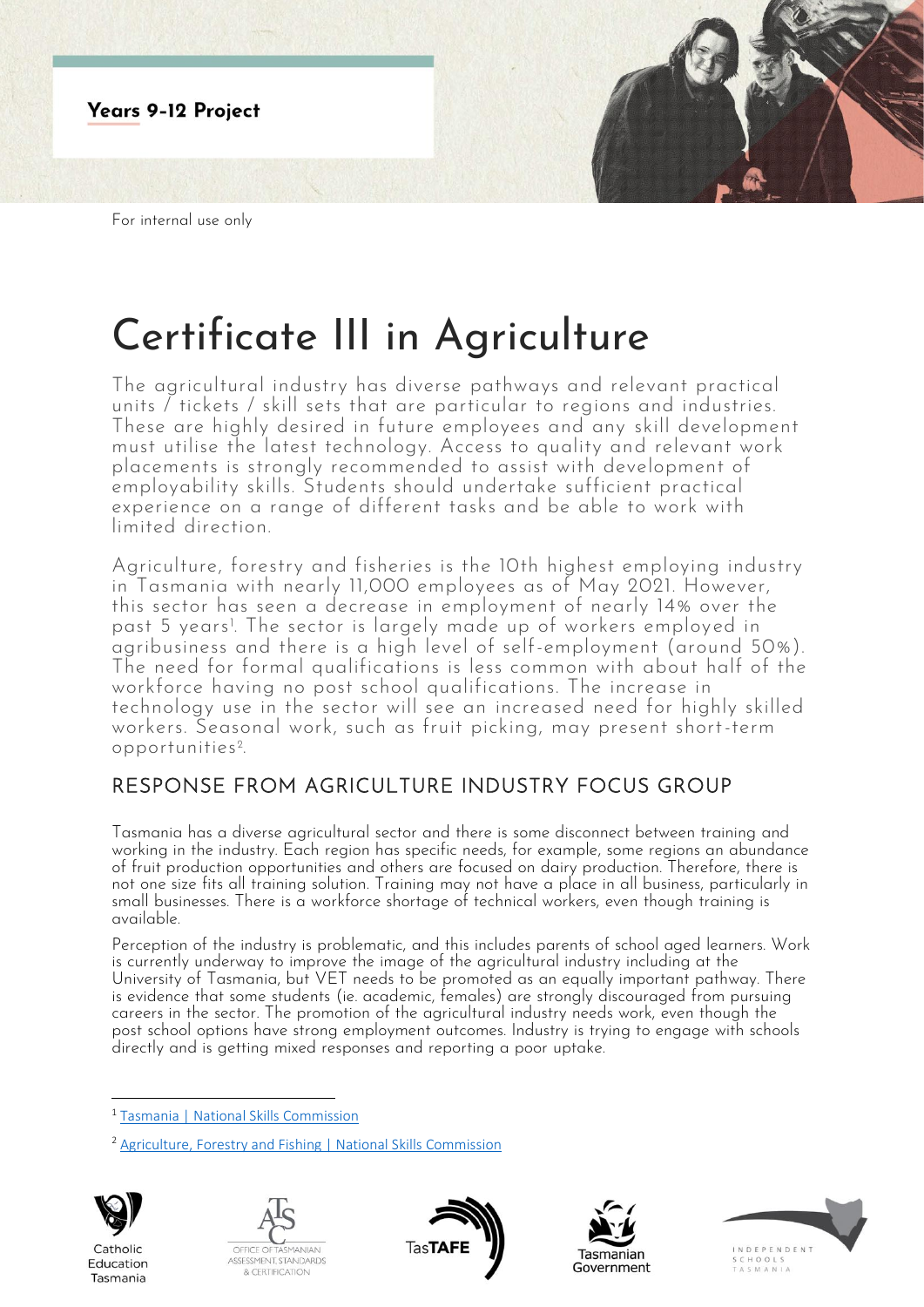

# Certificate III in Agriculture

The agricultural industry has diverse pathways and relevant practical units / tickets / skill sets that are particular to regions and industries. These are highly desired in future employees and any skill development must utilise the latest technology. Access to quality and relevant work placements is strongly recommended to assist with development of employability skills. Students should undertake sufficient practical experience on a range of different tasks and be able to work with limited direction.

Agriculture, forestry and fisheries is the 10th highest employing industry in Tasmania with nearly 11,000 employees as of May 2021. However, this sector has seen a decrease in employment of nearly 14% over the past 5 years!. The sector is largely made up of workers employed in . agribusiness and there is a high level of self-employment (around 50%). The need for formal qualifications is less common with about half of the workforce having no post school qualifications. The increase in technology use in the sector will see an increased need for highly skilled workers. Seasonal work, such as fruit picking, may present short-term opportunities <sup>2</sup> .

## RESPONSE FROM AGRICULTURE INDUSTRY FOCUS GROUP

Tasmania has a diverse agricultural sector and there is some disconnect between training and working in the industry. Each region has specific needs, for example, some regions an abundance of fruit production opportunities and others are focused on dairy production. Therefore, there is not one size fits all training solution. Training may not have a place in all business, particularly in small businesses. There is a workforce shortage of technical workers, even though training is available.

Perception of the industry is problematic, and this includes parents of school aged learners. Work is currently underway to improve the image of the agricultural industry including at the University of Tasmania, but VET needs to be promoted as an equally important pathway. There is evidence that some students (ie. academic, females) are strongly discouraged from pursuing careers in the sector. The promotion of the agricultural industry needs work, even though the post school options have strong employment outcomes. Industry is trying to engage with schools directly and is getting mixed responses and reporting a poor uptake.

<sup>2</sup> [Agriculture, Forestry and Fishing | National Skills Commission](https://www.nationalskillscommission.gov.au/agriculture-forestry-and-fishing-0)



Catholic

Education

Tasmania









<sup>1</sup> [Tasmania | National Skills Commission](https://www.nationalskillscommission.gov.au/tasmania-0)